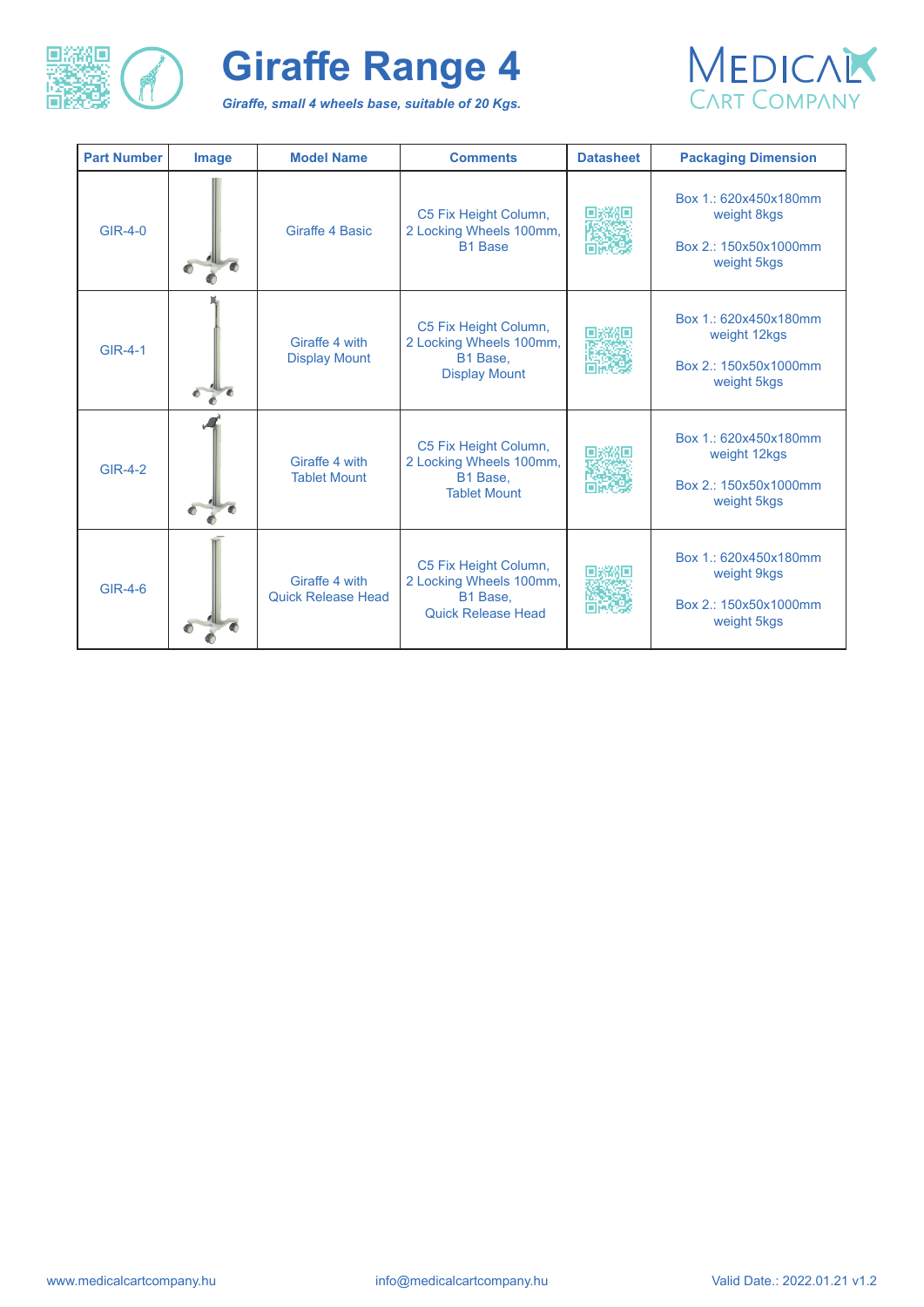

*Giraffe, small 4 wheels base, suitable of 20 Kgs.*



| <b>Part Number</b> | <b>Image</b> | <b>Model Name</b>                           | <b>Comments</b>                                                                           | <b>Datasheet</b> | <b>Packaging Dimension</b>                                                    |
|--------------------|--------------|---------------------------------------------|-------------------------------------------------------------------------------------------|------------------|-------------------------------------------------------------------------------|
| <b>GIR-4-0</b>     |              | <b>Giraffe 4 Basic</b>                      | C5 Fix Height Column,<br>2 Locking Wheels 100mm,<br><b>B1 Base</b>                        |                  | Box 1: 620x450x180mm<br>weight 8kgs<br>Box 2.: 150x50x1000mm<br>weight 5kgs   |
| <b>GIR-4-1</b>     |              | Giraffe 4 with<br><b>Display Mount</b>      | C5 Fix Height Column,<br>2 Locking Wheels 100mm,<br>B1 Base,<br><b>Display Mount</b>      |                  | Box 1.: 620x450x180mm<br>weight 12kgs<br>Box 2.: 150x50x1000mm<br>weight 5kgs |
| <b>GIR-4-2</b>     |              | Giraffe 4 with<br><b>Tablet Mount</b>       | C5 Fix Height Column,<br>2 Locking Wheels 100mm,<br>B1 Base,<br><b>Tablet Mount</b>       |                  | Box 1.: 620x450x180mm<br>weight 12kgs<br>Box 2.: 150x50x1000mm<br>weight 5kgs |
| <b>GIR-4-6</b>     |              | Giraffe 4 with<br><b>Quick Release Head</b> | C5 Fix Height Column,<br>2 Locking Wheels 100mm,<br>B1 Base,<br><b>Quick Release Head</b> |                  | Box 1.: 620x450x180mm<br>weight 9kgs<br>Box 2.: 150x50x1000mm<br>weight 5kgs  |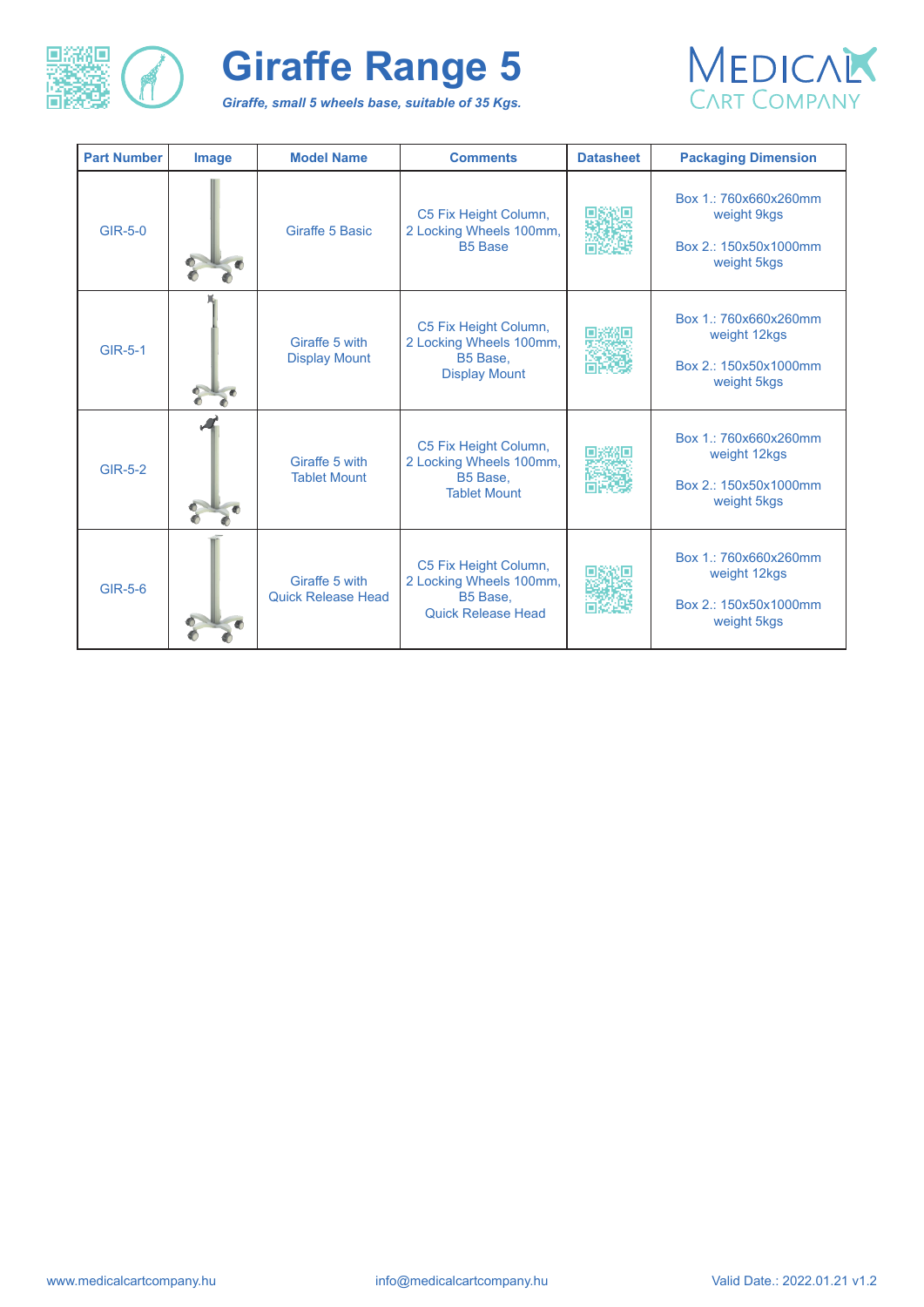

*Giraffe, small 5 wheels base, suitable of 35 Kgs.* 



| <b>Part Number</b> | <b>Image</b> | <b>Model Name</b>                           | <b>Comments</b>                                                                           | <b>Datasheet</b> | <b>Packaging Dimension</b>                                                    |
|--------------------|--------------|---------------------------------------------|-------------------------------------------------------------------------------------------|------------------|-------------------------------------------------------------------------------|
| <b>GIR-5-0</b>     |              | <b>Giraffe 5 Basic</b>                      | C5 Fix Height Column,<br>2 Locking Wheels 100mm,<br><b>B5 Base</b>                        |                  | Box 1.: 760x660x260mm<br>weight 9kgs<br>Box 2.: 150x50x1000mm<br>weight 5kgs  |
| <b>GIR-5-1</b>     |              | Giraffe 5 with<br><b>Display Mount</b>      | C5 Fix Height Column,<br>2 Locking Wheels 100mm,<br>B5 Base,<br><b>Display Mount</b>      |                  | Box 1.: 760x660x260mm<br>weight 12kgs<br>Box 2.: 150x50x1000mm<br>weight 5kgs |
| <b>GIR-5-2</b>     |              | Giraffe 5 with<br><b>Tablet Mount</b>       | C5 Fix Height Column,<br>2 Locking Wheels 100mm,<br>B5 Base,<br><b>Tablet Mount</b>       |                  | Box 1.: 760x660x260mm<br>weight 12kgs<br>Box 2.: 150x50x1000mm<br>weight 5kgs |
| <b>GIR-5-6</b>     |              | Giraffe 5 with<br><b>Quick Release Head</b> | C5 Fix Height Column,<br>2 Locking Wheels 100mm,<br>B5 Base,<br><b>Quick Release Head</b> |                  | Box 1.: 760x660x260mm<br>weight 12kgs<br>Box 2.: 150x50x1000mm<br>weight 5kgs |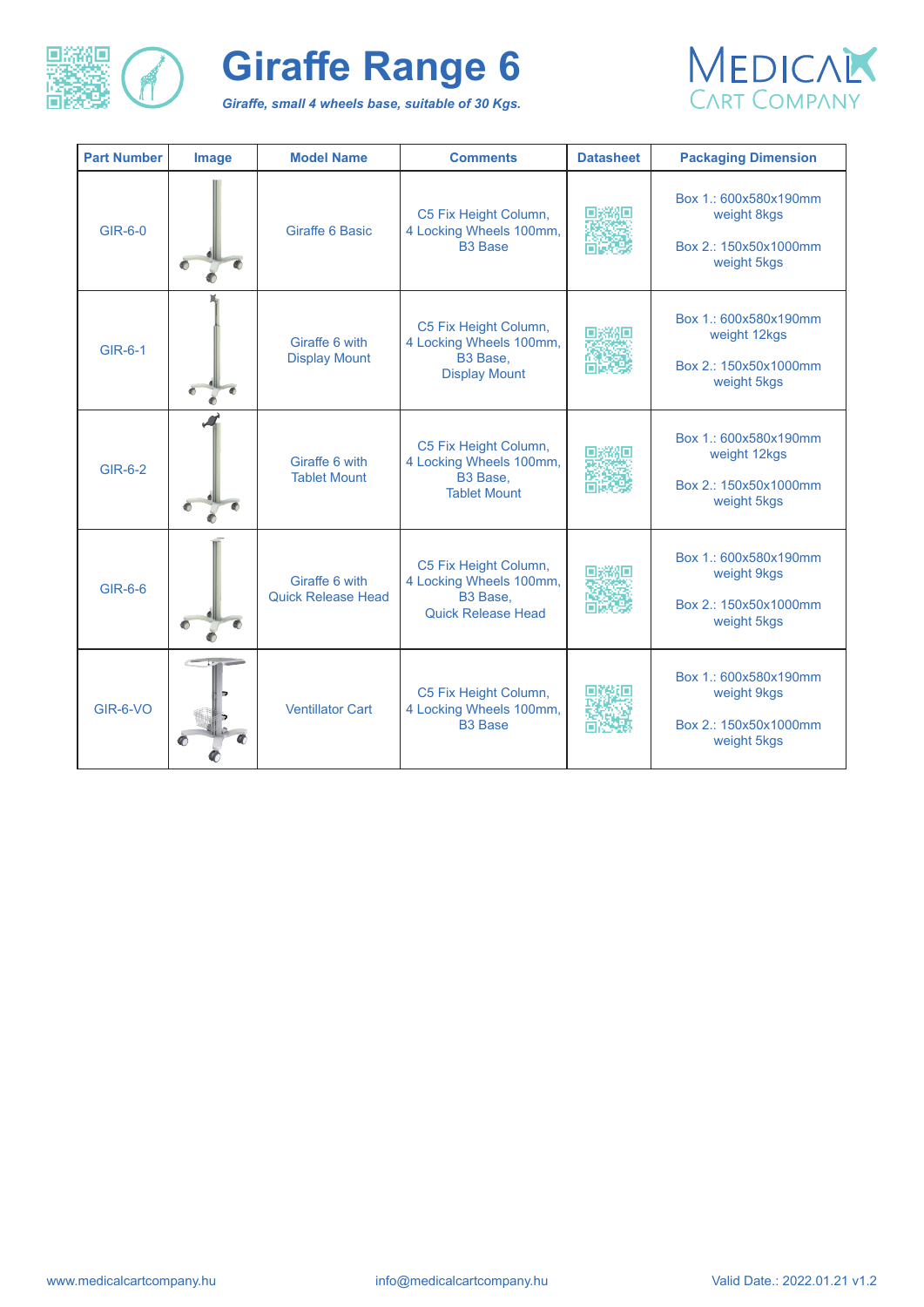

*Giraffe, small 4 wheels base, suitable of 30 Kgs.* 



| <b>Part Number</b> | <b>Image</b> | <b>Model Name</b>                           | <b>Comments</b>                                                                           | <b>Datasheet</b> | <b>Packaging Dimension</b>                                                    |
|--------------------|--------------|---------------------------------------------|-------------------------------------------------------------------------------------------|------------------|-------------------------------------------------------------------------------|
| <b>GIR-6-0</b>     |              | <b>Giraffe 6 Basic</b>                      | C5 Fix Height Column,<br>4 Locking Wheels 100mm,<br><b>B3 Base</b>                        |                  | Box 1.: 600x580x190mm<br>weight 8kgs<br>Box 2.: 150x50x1000mm<br>weight 5kgs  |
| <b>GIR-6-1</b>     |              | Giraffe 6 with<br><b>Display Mount</b>      | C5 Fix Height Column,<br>4 Locking Wheels 100mm,<br>B3 Base,<br><b>Display Mount</b>      |                  | Box 1.: 600x580x190mm<br>weight 12kgs<br>Box 2.: 150x50x1000mm<br>weight 5kgs |
| <b>GIR-6-2</b>     |              | Giraffe 6 with<br><b>Tablet Mount</b>       | C5 Fix Height Column,<br>4 Locking Wheels 100mm,<br>B3 Base,<br><b>Tablet Mount</b>       |                  | Box 1.: 600x580x190mm<br>weight 12kgs<br>Box 2.: 150x50x1000mm<br>weight 5kgs |
| <b>GIR-6-6</b>     |              | Giraffe 6 with<br><b>Quick Release Head</b> | C5 Fix Height Column,<br>4 Locking Wheels 100mm,<br>B3 Base,<br><b>Quick Release Head</b> |                  | Box 1.: 600x580x190mm<br>weight 9kgs<br>Box 2.: 150x50x1000mm<br>weight 5kgs  |
| <b>GIR-6-VO</b>    | $\bullet$    | <b>Ventillator Cart</b>                     | C5 Fix Height Column,<br>4 Locking Wheels 100mm,<br><b>B3 Base</b>                        |                  | Box 1.: 600x580x190mm<br>weight 9kgs<br>Box 2.: 150x50x1000mm<br>weight 5kgs  |